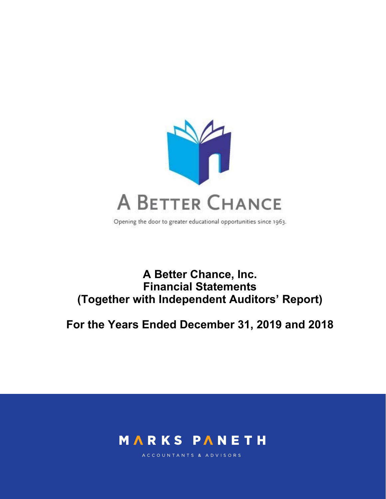

Opening the door to greater educational opportunities since 1963.

# **A Better Chance, Inc. Financial Statements (Together with Independent Auditors' Report)**

**For the Years Ended December 31, 2019 and 2018** 



ACCOUNTANTS & ADVISORS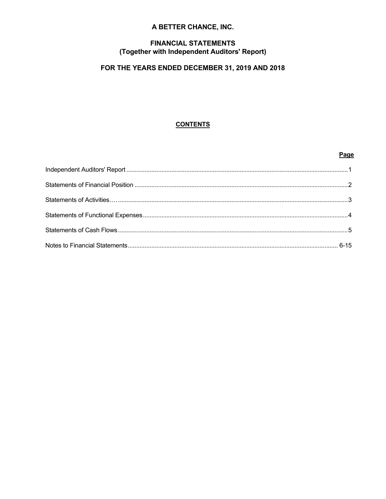## A BETTER CHANCE, INC.

### **FINANCIAL STATEMENTS** (Together with Independent Auditors' Report)

## FOR THE YEARS ENDED DECEMBER 31, 2019 AND 2018

## **CONTENTS**

#### Page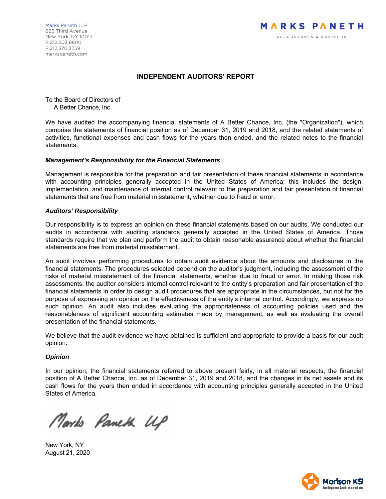#### **INDEPENDENT AUDITORS' REPORT**

To the Board of Directors of A Better Chance, Inc.

We have audited the accompanying financial statements of A Better Chance, Inc. (the "Organization"), which comprise the statements of financial position as of December 31, 2019 and 2018, and the related statements of activities, functional expenses and cash flows for the years then ended, and the related notes to the financial statements.

#### *Management's Responsibility for the Financial Statements*

Management is responsible for the preparation and fair presentation of these financial statements in accordance with accounting principles generally accepted in the United States of America; this includes the design, implementation, and maintenance of internal control relevant to the preparation and fair presentation of financial statements that are free from material misstatement, whether due to fraud or error.

#### *Auditors' Responsibility*

Our responsibility is to express an opinion on these financial statements based on our audits. We conducted our audits in accordance with auditing standards generally accepted in the United States of America. Those standards require that we plan and perform the audit to obtain reasonable assurance about whether the financial statements are free from material misstatement.

An audit involves performing procedures to obtain audit evidence about the amounts and disclosures in the financial statements. The procedures selected depend on the auditor's judgment, including the assessment of the risks of material misstatement of the financial statements, whether due to fraud or error. In making those risk assessments, the auditor considers internal control relevant to the entity's preparation and fair presentation of the financial statements in order to design audit procedures that are appropriate in the circumstances, but not for the purpose of expressing an opinion on the effectiveness of the entity's internal control. Accordingly, we express no such opinion. An audit also includes evaluating the appropriateness of accounting policies used and the reasonableness of significant accounting estimates made by management, as well as evaluating the overall presentation of the financial statements.

We believe that the audit evidence we have obtained is sufficient and appropriate to provide a basis for our audit opinion.

#### *Opinion*

In our opinion, the financial statements referred to above present fairly, in all material respects, the financial position of A Better Chance, Inc. as of December 31, 2019 and 2018, and the changes in its net assets and its cash flows for the years then ended in accordance with accounting principles generally accepted in the United States of America.

Marks Paneth UP

New York, NY August 21, 2020

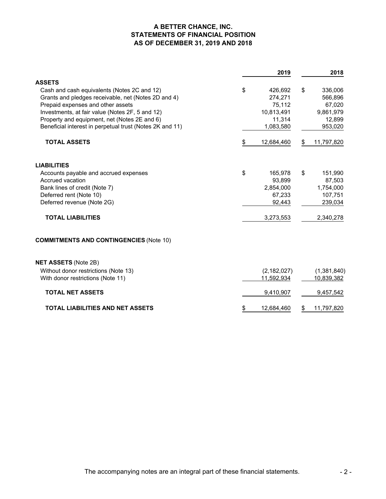## **A BETTER CHANCE, INC. STATEMENTS OF FINANCIAL POSITION AS OF DECEMBER 31, 2019 AND 2018**

|                                                          | 2019             | 2018             |
|----------------------------------------------------------|------------------|------------------|
| <b>ASSETS</b>                                            |                  |                  |
| Cash and cash equivalents (Notes 2C and 12)              | \$<br>426,692    | \$<br>336,006    |
| Grants and pledges receivable, net (Notes 2D and 4)      | 274,271          | 566,896          |
| Prepaid expenses and other assets                        | 75,112           | 67,020           |
| Investments, at fair value (Notes 2F, 5 and 12)          | 10,813,491       | 9,861,979        |
| Property and equipment, net (Notes 2E and 6)             | 11,314           | 12,899           |
| Beneficial interest in perpetual trust (Notes 2K and 11) | 1,083,580        | 953,020          |
| <b>TOTAL ASSETS</b>                                      | \$<br>12,684,460 | \$<br>11,797,820 |
| <b>LIABILITIES</b>                                       |                  |                  |
| Accounts payable and accrued expenses                    | \$<br>165,978    | \$<br>151,990    |
| Accrued vacation                                         | 93,899           | 87,503           |
| Bank lines of credit (Note 7)                            | 2,854,000        | 1,754,000        |
| Deferred rent (Note 10)                                  | 67,233           | 107,751          |
| Deferred revenue (Note 2G)                               | 92,443           | 239,034          |
| <b>TOTAL LIABILITIES</b>                                 | 3,273,553        | 2,340,278        |
| <b>COMMITMENTS AND CONTINGENCIES (Note 10)</b>           |                  |                  |
| <b>NET ASSETS (Note 2B)</b>                              |                  |                  |
| Without donor restrictions (Note 13)                     | (2, 182, 027)    | (1,381,840)      |
| With donor restrictions (Note 11)                        | 11,592,934       | 10,839,382       |
| <b>TOTAL NET ASSETS</b>                                  | 9,410,907        | 9,457,542        |
| <b>TOTAL LIABILITIES AND NET ASSETS</b>                  | \$<br>12,684,460 | \$<br>11,797,820 |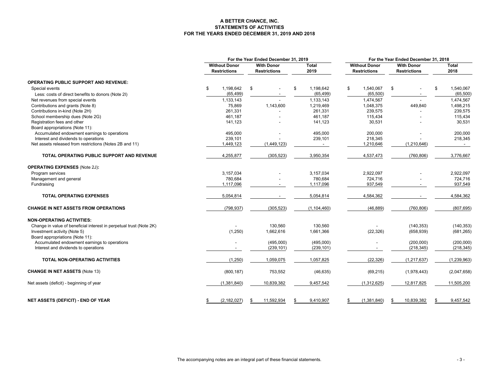#### **A BETTER CHANCE, INC. STATEMENTS OF ACTIVITIESFOR THE YEARS ENDED DECEMBER 31, 2019 AND 2018**

|                                                                     |                                             | For the Year Ended December 31, 2019     | For the Year Ended December 31, 2018 |                                             |             |                                          |                |    |                      |
|---------------------------------------------------------------------|---------------------------------------------|------------------------------------------|--------------------------------------|---------------------------------------------|-------------|------------------------------------------|----------------|----|----------------------|
|                                                                     | <b>Without Donor</b><br><b>Restrictions</b> | <b>With Donor</b><br><b>Restrictions</b> | <b>Total</b><br>2019                 | <b>Without Donor</b><br><b>Restrictions</b> |             | <b>With Donor</b><br><b>Restrictions</b> |                |    | <b>Total</b><br>2018 |
| <b>OPERATING PUBLIC SUPPORT AND REVENUE:</b>                        |                                             |                                          |                                      |                                             |             |                                          |                |    |                      |
| Special events                                                      | \$<br>1,198,642                             | \$                                       | \$<br>1,198,642                      | \$                                          | 1,540,067   | \$                                       |                | \$ | 1,540,067            |
| Less: costs of direct benefits to donors (Note 2I)                  | (65, 499)                                   |                                          | (65, 499)                            |                                             | (65,500)    |                                          | $\blacksquare$ |    | (65, 500)            |
| Net revenues from special events                                    | 1,133,143                                   |                                          | 1,133,143                            |                                             | 1,474,567   |                                          |                |    | 1,474,567            |
| Contributions and grants (Note 8)                                   | 75,869                                      | 1,143,600                                | 1,219,469                            |                                             | 1,048,375   |                                          | 449,840        |    | 1,498,215            |
| Contributions in-kind (Note 2H)                                     | 261,331                                     |                                          | 261,331                              |                                             | 239,575     |                                          |                |    | 239,575              |
| School membership dues (Note 2G)                                    | 461,187                                     |                                          | 461,187                              |                                             | 115,434     |                                          |                |    | 115,434              |
| Registration fees and other                                         | 141,123                                     |                                          | 141,123                              |                                             | 30,531      |                                          |                |    | 30,531               |
| Board appropriations (Note 11):                                     |                                             |                                          |                                      |                                             |             |                                          |                |    |                      |
| Accumulated endowment earnings to operations                        | 495,000                                     |                                          | 495,000                              |                                             | 200,000     |                                          |                |    | 200,000              |
| Interest and dividends to operations                                | 239,101                                     |                                          | 239,101                              |                                             | 218,345     |                                          |                |    | 218,345              |
| Net assets released from restrictions (Notes 2B and 11)             | 1,449,123                                   | (1,449,123)                              | $\sim$                               |                                             | 1,210,646   |                                          | (1,210,646)    |    |                      |
|                                                                     |                                             |                                          |                                      |                                             |             |                                          |                |    |                      |
| TOTAL OPERATING PUBLIC SUPPORT AND REVENUE                          | 4,255,877                                   | (305, 523)                               | 3,950,354                            |                                             | 4,537,473   |                                          | (760, 806)     |    | 3,776,667            |
| <b>OPERATING EXPENSES (Note 2J):</b>                                |                                             |                                          |                                      |                                             |             |                                          |                |    |                      |
| Program services                                                    | 3,157,034                                   |                                          | 3,157,034                            |                                             | 2,922,097   |                                          |                |    | 2,922,097            |
| Management and general                                              | 780,684                                     |                                          | 780,684                              |                                             | 724,716     |                                          |                |    | 724,716              |
| Fundraising                                                         | 1,117,096                                   |                                          | 1,117,096                            |                                             | 937,549     |                                          |                |    | 937,549              |
| <b>TOTAL OPERATING EXPENSES</b>                                     | 5,054,814                                   |                                          | 5,054,814                            |                                             | 4,584,362   |                                          |                |    | 4,584,362            |
| <b>CHANGE IN NET ASSETS FROM OPERATIONS</b>                         | (798, 937)                                  | (305, 523)                               | (1, 104, 460)                        |                                             | (46, 889)   |                                          | (760, 806)     |    | (807, 695)           |
| <b>NON-OPERATING ACTIVITIES:</b>                                    |                                             |                                          |                                      |                                             |             |                                          |                |    |                      |
| Change in value of beneficial interest in perpetual trust (Note 2K) |                                             | 130,560                                  | 130,560                              |                                             |             |                                          | (140, 353)     |    | (140, 353)           |
| Investment activity (Note 5)                                        | (1,250)                                     | 1,662,616                                | 1,661,366                            |                                             | (22, 326)   |                                          | (658, 939)     |    | (681, 265)           |
| Board appropriations (Note 11):                                     |                                             |                                          |                                      |                                             |             |                                          |                |    |                      |
| Accumulated endowment earnings to operations                        | $\blacksquare$                              | (495,000)                                | (495,000)                            |                                             |             |                                          | (200,000)      |    | (200,000)            |
| Interest and dividends to operations                                |                                             | (239, 101)                               | (239, 101)                           |                                             |             |                                          | (218, 345)     |    | (218, 345)           |
| TOTAL NON-OPERATING ACTIVITIES                                      | (1,250)                                     | 1,059,075                                | 1,057,825                            |                                             | (22, 326)   |                                          | (1, 217, 637)  |    | (1, 239, 963)        |
| <b>CHANGE IN NET ASSETS (Note 13)</b>                               | (800, 187)                                  | 753,552                                  | (46, 635)                            |                                             | (69, 215)   |                                          | (1,978,443)    |    | (2,047,658)          |
| Net assets (deficit) - beginning of year                            | (1, 381, 840)                               | 10,839,382                               | 9,457,542                            |                                             | (1,312,625) |                                          | 12,817,825     |    | 11,505,200           |
| <b>NET ASSETS (DEFICIT) - END OF YEAR</b>                           | \$<br>(2, 182, 027)                         | 11,592,934<br>\$                         | \$<br>9,410,907                      | \$                                          | (1,381,840) | \$                                       | 10,839,382     | \$ | 9,457,542            |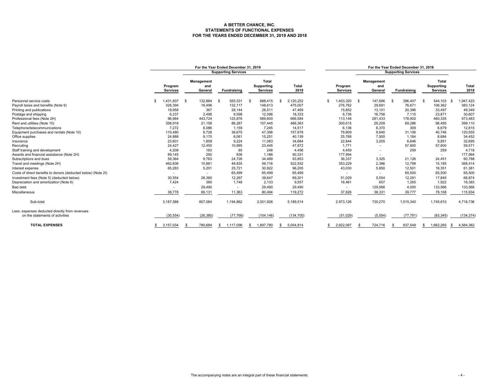#### **A BETTER CHANCE, INC. STATEMENTS OF FUNCTIONAL EXPENSESFOR THE YEARS ENDED DECEMBER 31, 2019 AND 2018**

|                                                               | For the Year Ended December 31, 2019 |                 |    |                            |  | For the Year Ended December 31, 2018 |    |               |                     |  |                          |                            |  |                               |                 |
|---------------------------------------------------------------|--------------------------------------|-----------------|----|----------------------------|--|--------------------------------------|----|---------------|---------------------|--|--------------------------|----------------------------|--|-------------------------------|-----------------|
|                                                               |                                      |                 |    | <b>Supporting Services</b> |  |                                      |    |               |                     |  |                          | <b>Supporting Services</b> |  |                               |                 |
|                                                               |                                      | Management      |    |                            |  | Total                                |    |               |                     |  | Management               |                            |  | Total                         |                 |
|                                                               | Program<br><b>Services</b>           | and<br>General  |    | Fundraising                |  | Supporting<br><b>Services</b>        |    | Total<br>2019 | Program<br>Services |  | and<br>General           | Fundraising                |  | Supporting<br><b>Services</b> | Total<br>2018   |
| Personnel service costs                                       | \$<br>,431,837                       | 132,884<br>- \$ |    | 555,531                    |  | 688,415                              |    | 2,120,252     | \$<br>403,320 \$    |  | 147,696                  | 396,407                    |  | 544,103                       | ,947,423        |
| Payroll taxes and benefits (Note 9)                           | 326,394                              | 16,496          |    | 132,117                    |  | 148,613                              |    | 475,007       | 276,762             |  | 29,691                   | 76,671                     |  | 106,362                       | 383,124         |
| Printing and publications                                     | 18,958                               | 367             |    | 28,144                     |  | 28,511                               |    | 47,469        | 15,852              |  | 13,101                   | 20,396                     |  | 33,497                        | 49,349          |
| Postage and shipping                                          | 6,237                                | 2,498           |    | 9,598                      |  | 12,096                               |    | 18,333        | 6,736               |  | 16,756                   | 7,115                      |  | 23,871                        | 30,607          |
| Professional fees (Note 2H)                                   | 96,984                               | 443,724         |    | 125,876                    |  | 569,600                              |    | 666,584       | 113,148             |  | 281,433                  | 178,902                    |  | 460,335                       | 573,483         |
| Rent and utilities (Note 10)                                  | 358,918                              | 21,158          |    | 86,287                     |  | 107,445                              |    | 466,363       | 300,615             |  | 29,209                   | 69,286                     |  | 98,495                        | 399,110         |
| Telephone/telecommunications                                  | 7.272                                | 6,086           |    | 1,159                      |  | 7.245                                |    | 14.517        | 6,136               |  | 6,370                    | 309                        |  | 6,679                         | 12,815          |
| Equipment purchases and rentals (Note 10)                     | 110.480                              | 8,728           |    | 38,670                     |  | 47,398                               |    | 157,878       | 79,809              |  | 9,640                    | 31,106                     |  | 40.746                        | 120,555         |
| Office supplies                                               | 24,888                               | 9,170           |    | 6,081                      |  | 15,251                               |    | 40,139        | 25,768              |  | 7,500                    | 1,184                      |  | 8,684                         | 34,452          |
| Insurance                                                     | 23,601                               | 1,859           |    | 9,224                      |  | 11,083                               |    | 34,684        | 22,844              |  | 3,205                    | 6,646                      |  | 9,851                         | 32,695          |
| Recruiting                                                    | 24,427                               | 12,450          |    | 10,995                     |  | 23,445                               |    | 47,872        | 1,771               |  | $\overline{\phantom{a}}$ | 57,800                     |  | 57,800                        | 59,571          |
| Staff training and development                                | 4,208                                | 163             |    | 85                         |  | 248                                  |    | 4,456         | 4,459               |  |                          | 259                        |  | 259                           | 4,718           |
| Awards and financial assistance (Note 2H)                     | 89,145                               | 250             |    | 936                        |  | 1,186                                |    | 90,331        | 177,994             |  |                          |                            |  | $\overline{\phantom{a}}$      | 177,994         |
| Subscriptions and dues                                        | 59,364                               | 9,763           |    | 24,726                     |  | 34,489                               |    | 93,853        | 36,337              |  | 3,325                    | 21,126                     |  | 24,451                        | 60,788          |
| Travel and meetings (Note 2H)                                 | 462,836                              | 10,881          |    | 48,835                     |  | 59,716                               |    | 522,552       | 353,229             |  | 2,386                    | 12,799                     |  | 15,185                        | 368,414         |
| Interest expense                                              | 65,283                               | 5,201           |    | 25,721                     |  | 30,922                               |    | 96,205        | 43,030              |  | 5,850                    | 12,501                     |  | 18,351                        | 61,381          |
| Costs of direct benefits to donors (deducted below) (Note 2I) |                                      | ٠               |    | 65,499                     |  | 65,499                               |    | 65,499        |                     |  | $\overline{\phantom{a}}$ | 65,500                     |  | 65,500                        | 65,500          |
| Investment fees (Note 5) (deducted below)                     | 30,554                               | 26,380          |    | 12,267                     |  | 38,647                               |    | 69,201        | 51,029              |  | 5,554                    | 12,291                     |  | 17,845                        | 68,874          |
| Depreciation and amortization (Note 6)                        | 7,424                                | 385             |    | 1,748                      |  | 2,133                                |    | 9,557         | 16,461              |  | 657                      | 1,265                      |  | 1,922                         | 18,383          |
| Bad debt                                                      |                                      | 29,490          |    |                            |  | 29,490                               |    | 29,490        |                     |  | 129,566                  | 4,000                      |  | 133,566                       | 133,566         |
| Miscellaneous                                                 | 38,778                               | 69,131          |    | 11,363                     |  | 80,494                               |    | 119,272       | 37,826              |  | 38,331                   | 39,777                     |  | 78,108                        | 115,934         |
| Sub-total                                                     | 3,187,588                            | 807,064         |    | 1,194,862                  |  | 2,001,926                            |    | 5,189,514     | 2,973,126           |  | 730,270                  | 1,015,340                  |  | 1,745,610                     | 4,718,736       |
| Less: expenses deducted directly from revenues                |                                      |                 |    |                            |  |                                      |    |               |                     |  |                          |                            |  |                               |                 |
| on the statements of activities                               | (30, 554)                            | (26, 380)       |    | (77, 766)                  |  | (104, 146)                           |    | (134, 700)    | (51, 029)           |  | (5, 554)                 | (77, 791)                  |  | (83, 345)                     | (134, 374)      |
| <b>TOTAL EXPENSES</b>                                         | 3,157,034                            | 780,684         | -S | 1,117,096                  |  | 1,897,780                            | s. | 5,054,814     | 2,922,097           |  | 724,716                  | 937,549                    |  | 1,662,265                     | 4,584,362<br>S. |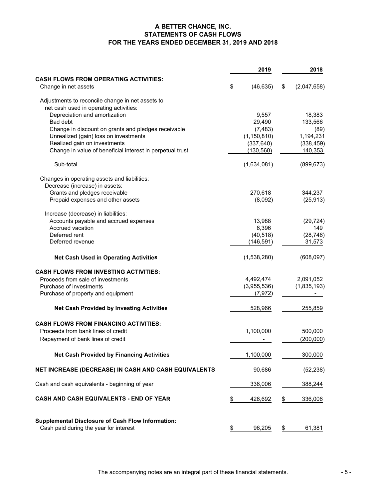#### **A BETTER CHANCE, INC. STATEMENTS OF CASH FLOWS FOR THE YEARS ENDED DECEMBER 31, 2019 AND 2018**

|                                                           | 2019            | 2018              |
|-----------------------------------------------------------|-----------------|-------------------|
| <b>CASH FLOWS FROM OPERATING ACTIVITIES:</b>              |                 |                   |
| Change in net assets                                      | \$<br>(46, 635) | \$<br>(2,047,658) |
| Adjustments to reconcile change in net assets to          |                 |                   |
| net cash used in operating activities:                    |                 |                   |
| Depreciation and amortization                             | 9,557           | 18,383            |
| Bad debt                                                  | 29,490          | 133,566           |
| Change in discount on grants and pledges receivable       | (7, 483)        | (89)              |
| Unrealized (gain) loss on investments                     | (1, 150, 810)   | 1,194,231         |
| Realized gain on investments                              | (337, 640)      | (338, 459)        |
| Change in value of beneficial interest in perpetual trust | (130, 560)      | 140,353           |
| Sub-total                                                 | (1,634,081)     | (899, 673)        |
| Changes in operating assets and liabilities:              |                 |                   |
| Decrease (increase) in assets:                            |                 |                   |
| Grants and pledges receivable                             | 270,618         | 344,237           |
| Prepaid expenses and other assets                         | (8,092)         | (25, 913)         |
| Increase (decrease) in liabilities:                       |                 |                   |
| Accounts payable and accrued expenses                     | 13,988          | (29, 724)         |
| Accrued vacation                                          | 6,396           | 149               |
| Deferred rent                                             | (40, 518)       | (28, 746)         |
| Deferred revenue                                          | (146, 591)      | 31,573            |
| <b>Net Cash Used in Operating Activities</b>              | (1,538,280)     | (608, 097)        |
| <b>CASH FLOWS FROM INVESTING ACTIVITIES:</b>              |                 |                   |
| Proceeds from sale of investments                         | 4,492,474       | 2,091,052         |
| Purchase of investments                                   | (3,955,536)     | (1,835,193)       |
| Purchase of property and equipment                        | (7, 972)        |                   |
| <b>Net Cash Provided by Investing Activities</b>          | 528,966         | 255,859           |
| <b>CASH FLOWS FROM FINANCING ACTIVITIES:</b>              |                 |                   |
| Proceeds from bank lines of credit                        | 1,100,000       | 500,000           |
| Repayment of bank lines of credit                         |                 | (200, 000)        |
| <b>Net Cash Provided by Financing Activities</b>          | 1,100,000       | 300,000           |
|                                                           |                 |                   |
| NET INCREASE (DECREASE) IN CASH AND CASH EQUIVALENTS      | 90,686          | (52, 238)         |
| Cash and cash equivalents - beginning of year             | 336,006         | 388,244           |
| CASH AND CASH EQUIVALENTS - END OF YEAR                   | \$<br>426,692   | \$<br>336,006     |
| <b>Supplemental Disclosure of Cash Flow Information:</b>  |                 |                   |
| Cash paid during the year for interest                    | \$<br>96,205    | \$<br>61,381      |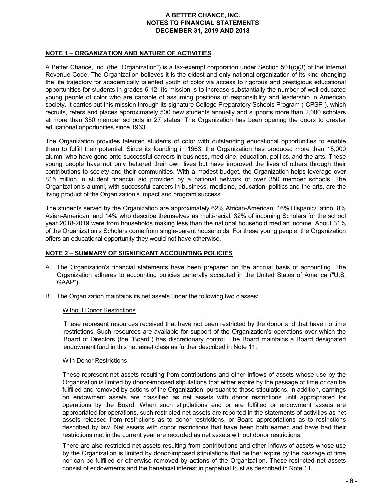#### **NOTE 1** – **ORGANIZATION AND NATURE OF ACTIVITIES**

A Better Chance, Inc. (the "Organization") is a tax-exempt corporation under Section 501(c)(3) of the Internal Revenue Code. The Organization believes it is the oldest and only national organization of its kind changing the life trajectory for academically talented youth of color via access to rigorous and prestigious educational opportunities for students in grades 6-12. Its mission is to increase substantially the number of well-educated young people of color who are capable of assuming positions of responsibility and leadership in American society. It carries out this mission through its signature College Preparatory Schools Program ("CPSP"), which recruits, refers and places approximately 500 new students annually and supports more than 2,000 scholars at more than 350 member schools in 27 states. The Organization has been opening the doors to greater educational opportunities since 1963.

The Organization provides talented students of color with outstanding educational opportunities to enable them to fulfill their potential. Since its founding in 1963, the Organization has produced more than 15,000 alumni who have gone onto successful careers in business, medicine, education, politics, and the arts. These young people have not only bettered their own lives but have improved the lives of others through their contributions to society and their communities. With a modest budget, the Organization helps leverage over \$15 million in student financial aid provided by a national network of over 350 member schools. The Organization's alumni, with successful careers in business, medicine, education, politics and the arts, are the living product of the Organization's impact and program success.

The students served by the Organization are approximately 62% African-American, 16% Hispanic/Latino, 8% Asian-American, and 14% who describe themselves as multi-racial. 32% of incoming Scholars for the school year 2018-2019 were from households making less than the national household median income. About 31% of the Organization's Scholars come from single-parent households. For these young people, the Organization offers an educational opportunity they would not have otherwise.

#### **NOTE 2** – **SUMMARY OF SIGNIFICANT ACCOUNTING POLICIES**

- A. The Organization's financial statements have been prepared on the accrual basis of accounting. The Organization adheres to accounting policies generally accepted in the United States of America ("U.S. GAAP").
- B. The Organization maintains its net assets under the following two classes:

#### Without Donor Restrictions

These represent resources received that have not been restricted by the donor and that have no time restrictions. Such resources are available for support of the Organization's operations over which the Board of Directors (the "Board") has discretionary control. The Board maintains a Board designated endowment fund in this net asset class as further described in Note 11.

#### With Donor Restrictions

These represent net assets resulting from contributions and other inflows of assets whose use by the Organization is limited by donor-imposed stipulations that either expire by the passage of time or can be fulfilled and removed by actions of the Organization, pursuant to those stipulations. In addition, earnings on endowment assets are classified as net assets with donor restrictions until appropriated for operations by the Board. When such stipulations end or are fulfilled or endowment assets are appropriated for operations, such restricted net assets are reported in the statements of activities as net assets released from restrictions as to donor restrictions, or Board appropriations as to restrictions described by law. Net assets with donor restrictions that have been both earned and have had their restrictions met in the current year are recorded as net assets without donor restrictions.

There are also restricted net assets resulting from contributions and other inflows of assets whose use by the Organization is limited by donor-imposed stipulations that neither expire by the passage of time nor can be fulfilled or otherwise removed by actions of the Organization. These restricted net assets consist of endowments and the beneficial interest in perpetual trust as described in Note 11.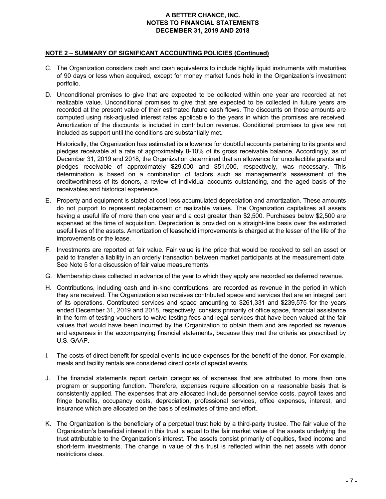#### **NOTE 2** – **SUMMARY OF SIGNIFICANT ACCOUNTING POLICIES (Continued)**

- C. The Organization considers cash and cash equivalents to include highly liquid instruments with maturities of 90 days or less when acquired, except for money market funds held in the Organization's investment portfolio.
- D. Unconditional promises to give that are expected to be collected within one year are recorded at net realizable value. Unconditional promises to give that are expected to be collected in future years are recorded at the present value of their estimated future cash flows. The discounts on those amounts are computed using risk-adjusted interest rates applicable to the years in which the promises are received. Amortization of the discounts is included in contribution revenue. Conditional promises to give are not included as support until the conditions are substantially met.

Historically, the Organization has estimated its allowance for doubtful accounts pertaining to its grants and pledges receivable at a rate of approximately 8-10% of its gross receivable balance. Accordingly, as of December 31, 2019 and 2018, the Organization determined that an allowance for uncollectible grants and pledges receivable of approximately \$29,000 and \$51,000, respectively, was necessary. This determination is based on a combination of factors such as management's assessment of the creditworthiness of its donors, a review of individual accounts outstanding, and the aged basis of the receivables and historical experience.

- E. Property and equipment is stated at cost less accumulated depreciation and amortization. These amounts do not purport to represent replacement or realizable values. The Organization capitalizes all assets having a useful life of more than one year and a cost greater than \$2,500. Purchases below \$2,500 are expensed at the time of acquisition. Depreciation is provided on a straight-line basis over the estimated useful lives of the assets. Amortization of leasehold improvements is charged at the lesser of the life of the improvements or the lease.
- F. Investments are reported at fair value. Fair value is the price that would be received to sell an asset or paid to transfer a liability in an orderly transaction between market participants at the measurement date. See Note 5 for a discussion of fair value measurements.
- G. Membership dues collected in advance of the year to which they apply are recorded as deferred revenue.
- H. Contributions, including cash and in-kind contributions, are recorded as revenue in the period in which they are received. The Organization also receives contributed space and services that are an integral part of its operations. Contributed services and space amounting to \$261,331 and \$239,575 for the years ended December 31, 2019 and 2018, respectively, consists primarily of office space, financial assistance in the form of testing vouchers to waive testing fees and legal services that have been valued at the fair values that would have been incurred by the Organization to obtain them and are reported as revenue and expenses in the accompanying financial statements, because they met the criteria as prescribed by U.S. GAAP.
- I. The costs of direct benefit for special events include expenses for the benefit of the donor. For example, meals and facility rentals are considered direct costs of special events.
- J. The financial statements report certain categories of expenses that are attributed to more than one program or supporting function. Therefore, expenses require allocation on a reasonable basis that is consistently applied. The expenses that are allocated include personnel service costs, payroll taxes and fringe benefits, occupancy costs, depreciation, professional services, office expenses, interest, and insurance which are allocated on the basis of estimates of time and effort.
- K. The Organization is the beneficiary of a perpetual trust held by a third-party trustee. The fair value of the Organization's beneficial interest in this trust is equal to the fair market value of the assets underlying the trust attributable to the Organization's interest. The assets consist primarily of equities, fixed income and short-term investments. The change in value of this trust is reflected within the net assets with donor restrictions class.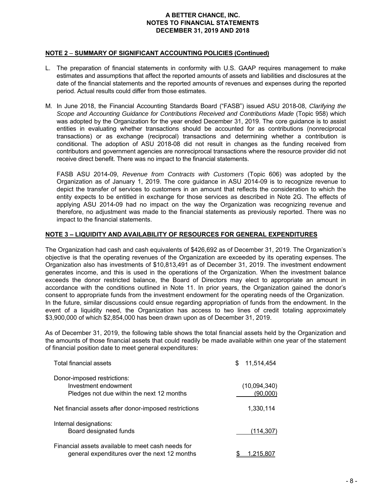#### **NOTE 2** – **SUMMARY OF SIGNIFICANT ACCOUNTING POLICIES (Continued)**

- L. The preparation of financial statements in conformity with U.S. GAAP requires management to make estimates and assumptions that affect the reported amounts of assets and liabilities and disclosures at the date of the financial statements and the reported amounts of revenues and expenses during the reported period. Actual results could differ from those estimates.
- M. In June 2018, the Financial Accounting Standards Board ("FASB") issued ASU 2018-08, *Clarifying the Scope and Accounting Guidance for Contributions Received and Contributions Made* (Topic 958) which was adopted by the Organization for the year ended December 31, 2019. The core guidance is to assist entities in evaluating whether transactions should be accounted for as contributions (nonreciprocal transactions) or as exchange (reciprocal) transactions and determining whether a contribution is conditional. The adoption of ASU 2018-08 did not result in changes as the funding received from contributors and government agencies are nonreciprocal transactions where the resource provider did not receive direct benefit. There was no impact to the financial statements.

FASB ASU 2014-09, *Revenue from Contracts with Customers* (Topic 606) was adopted by the Organization as of January 1, 2019. The core guidance in ASU 2014-09 is to recognize revenue to depict the transfer of services to customers in an amount that reflects the consideration to which the entity expects to be entitled in exchange for those services as described in Note 2G. The effects of applying ASU 2014-09 had no impact on the way the Organization was recognizing revenue and therefore, no adjustment was made to the financial statements as previously reported. There was no impact to the financial statements.

#### **NOTE 3 – LIQUIDITY AND AVAILABILITY OF RESOURCES FOR GENERAL EXPENDITURES**

The Organization had cash and cash equivalents of \$426,692 as of December 31, 2019. The Organization's objective is that the operating revenues of the Organization are exceeded by its operating expenses. The Organization also has investments of \$10,813,491 as of December 31, 2019. The investment endowment generates income, and this is used in the operations of the Organization. When the investment balance exceeds the donor restricted balance, the Board of Directors may elect to appropriate an amount in accordance with the conditions outlined in Note 11. In prior years, the Organization gained the donor's consent to appropriate funds from the investment endowment for the operating needs of the Organization. In the future, similar discussions could ensue regarding appropriation of funds from the endowment. In the event of a liquidity need, the Organization has access to two lines of credit totaling approximately \$3,900,000 of which \$2,854,000 has been drawn upon as of December 31, 2019.

As of December 31, 2019, the following table shows the total financial assets held by the Organization and the amounts of those financial assets that could readily be made available within one year of the statement of financial position date to meet general expenditures:

| Total financial assets                                                                            | 11,514,454<br>S          |
|---------------------------------------------------------------------------------------------------|--------------------------|
| Donor-imposed restrictions:<br>Investment endowment<br>Pledges not due within the next 12 months  | (10,094,340)<br>(90,000) |
| Net financial assets after donor-imposed restrictions                                             | 1,330,114                |
| Internal designations:<br>Board designated funds                                                  | (114, 307)               |
| Financial assets available to meet cash needs for<br>general expenditures over the next 12 months | 1.215.807                |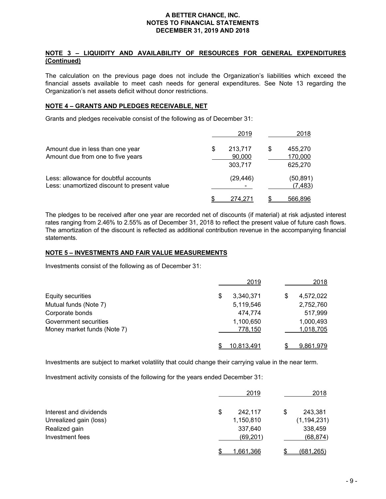#### **NOTE 3 – LIQUIDITY AND AVAILABILITY OF RESOURCES FOR GENERAL EXPENDITURES (Continued)**

The calculation on the previous page does not include the Organization's liabilities which exceed the financial assets available to meet cash needs for general expenditures. See Note 13 regarding the Organization's net assets deficit without donor restrictions.

#### **NOTE 4 – GRANTS AND PLEDGES RECEIVABLE, NET**

Grants and pledges receivable consist of the following as of December 31:

|                                                                                      |   | 2019                         |   | 2018                          |
|--------------------------------------------------------------------------------------|---|------------------------------|---|-------------------------------|
| Amount due in less than one year<br>Amount due from one to five years                | S | 213,717<br>90,000<br>303,717 | S | 455,270<br>170,000<br>625,270 |
| Less: allowance for doubtful accounts<br>Less: unamortized discount to present value |   | (29, 446)                    |   | (50, 891)<br>(7, 483)         |
|                                                                                      |   | 274.271                      |   | 566,896                       |

The pledges to be received after one year are recorded net of discounts (if material) at risk adjusted interest rates ranging from 2.46% to 2.55% as of December 31, 2018 to reflect the present value of future cash flows. The amortization of the discount is reflected as additional contribution revenue in the accompanying financial statements.

#### **NOTE 5 – INVESTMENTS AND FAIR VALUE MEASUREMENTS**

Investments consist of the following as of December 31:

|                             | 2019            | 2018      |
|-----------------------------|-----------------|-----------|
| Equity securities           | \$<br>3,340,371 | 4,572,022 |
| Mutual funds (Note 7)       | 5,119,546       | 2,752,760 |
| Corporate bonds             | 474,774         | 517,999   |
| Government securities       | 1,100,650       | 1,000,493 |
| Money market funds (Note 7) | 778.150         | 1,018,705 |
|                             | 10.813.491      | 9.861.979 |

Investments are subject to market volatility that could change their carrying value in the near term.

Investment activity consists of the following for the years ended December 31:

|                        | 2019             |   | 2018             |
|------------------------|------------------|---|------------------|
| Interest and dividends | \$<br>242,117    | S | 243,381          |
| Unrealized gain (loss) | 1,150,810        |   | (1, 194, 231)    |
| Realized gain          | 337,640          |   | 338,459          |
| Investment fees        | (69, 201)        |   | (68, 874)        |
|                        | <u>1,661,366</u> |   | <u>(681,265)</u> |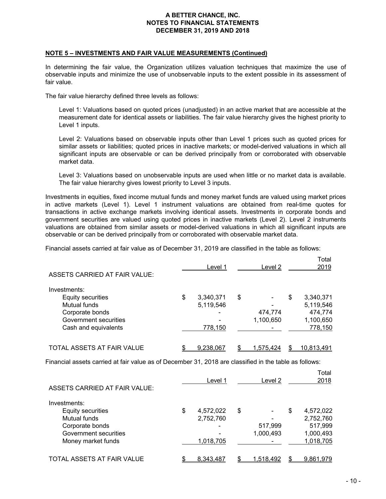#### **NOTE 5 – INVESTMENTS AND FAIR VALUE MEASUREMENTS (Continued)**

In determining the fair value, the Organization utilizes valuation techniques that maximize the use of observable inputs and minimize the use of unobservable inputs to the extent possible in its assessment of fair value.

The fair value hierarchy defined three levels as follows:

Level 1: Valuations based on quoted prices (unadjusted) in an active market that are accessible at the measurement date for identical assets or liabilities. The fair value hierarchy gives the highest priority to Level 1 inputs.

Level 2: Valuations based on observable inputs other than Level 1 prices such as quoted prices for similar assets or liabilities; quoted prices in inactive markets; or model-derived valuations in which all significant inputs are observable or can be derived principally from or corroborated with observable market data.

Level 3: Valuations based on unobservable inputs are used when little or no market data is available. The fair value hierarchy gives lowest priority to Level 3 inputs.

Investments in equities, fixed income mutual funds and money market funds are valued using market prices in active markets (Level 1). Level 1 instrument valuations are obtained from real-time quotes for transactions in active exchange markets involving identical assets. Investments in corporate bonds and government securities are valued using quoted prices in inactive markets (Level 2). Level 2 instruments valuations are obtained from similar assets or model-derived valuations in which all significant inputs are observable or can be derived principally from or corroborated with observable market data.

Financial assets carried at fair value as of December 31, 2019 are classified in the table as follows:

| <b>ASSETS CARRIED AT FAIR VALUE:</b> | Level 1         | Level 2   | Total<br>2019     |
|--------------------------------------|-----------------|-----------|-------------------|
| Investments:                         |                 |           |                   |
| Equity securities                    | \$<br>3,340,371 | \$        | \$<br>3,340,371   |
| Mutual funds                         | 5,119,546       |           | 5,119,546         |
| Corporate bonds                      |                 | 474,774   | 474,774           |
| Government securities                |                 | 1,100,650 | 1,100,650         |
| Cash and equivalents                 | 778,150         |           | 778,150           |
| TOTAL ASSETS AT FAIR VALUE           | 9,238,067       | 1.575.424 | <u>10,813,491</u> |

Financial assets carried at fair value as of December 31, 2018 are classified in the table as follows:

| <b>ASSETS CARRIED AT FAIR VALUE:</b> | Level 1         | Level 2          |   | Total<br>2018 |
|--------------------------------------|-----------------|------------------|---|---------------|
| Investments:                         |                 |                  |   |               |
| Equity securities                    | \$<br>4,572,022 | \$               | S | 4,572,022     |
| <b>Mutual funds</b>                  | 2,752,760       |                  |   | 2,752,760     |
| Corporate bonds                      |                 | 517,999          |   | 517,999       |
| Government securities                |                 | 1,000,493        |   | 1,000,493     |
| Money market funds                   | 1,018,705       |                  |   | 1,018,705     |
| TOTAL ASSETS AT FAIR VALUE           | 8,343,487       | <u>1,518,492</u> |   | 9,861,979     |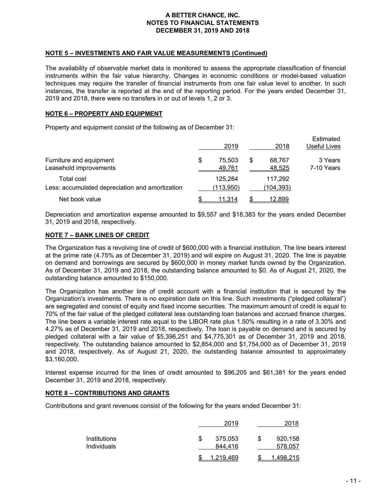#### **NOTE 5 – INVESTMENTS AND FAIR VALUE MEASUREMENTS (Continued)**

The availability of observable market data is monitored to assess the appropriate classification of financial instruments within the fair value hierarchy. Changes in economic conditions or model-based valuation techniques may require the transfer of financial instruments from one fair value level to another. In such instances, the transfer is reported at the end of the reporting period. For the years ended December 31, 2019 and 2018, there were no transfers in or out of levels 1, 2 or 3.

#### **NOTE 6 – PROPERTY AND EQUIPMENT**

Property and equipment consist of the following as of December 31:

|                                                               | 2019                   | 2018                   | Estimated<br>Useful Lives |
|---------------------------------------------------------------|------------------------|------------------------|---------------------------|
| Furniture and equipment<br>Leasehold improvements             | \$<br>75.503<br>49,761 | \$<br>68,767<br>48,525 | 3 Years<br>7-10 Years     |
| Total cost<br>Less: accumulated depreciation and amortization | 125,264<br>(113,950)   | 117,292<br>(104,393)   |                           |
| Net book value                                                | 11.314                 | 12.899                 |                           |

Depreciation and amortization expense amounted to \$9,557 and \$18,383 for the years ended December 31, 2019 and 2018, respectively.

#### **NOTE 7 – BANK LINES OF CREDIT**

The Organization has a revolving line of credit of \$600,000 with a financial institution. The line bears interest at the prime rate (4.75% as of December 31, 2019) and will expire on August 31, 2020. The line is payable on demand and borrowings are secured by \$600,000 in money market funds owned by the Organization. As of December 31, 2019 and 2018, the outstanding balance amounted to \$0. As of August 21, 2020, the outstanding balance amounted to \$150,000.

The Organization has another line of credit account with a financial institution that is secured by the Organization's investments. There is no expiration date on this line. Such investments ("pledged collateral") are segregated and consist of equity and fixed income securities. The maximum amount of credit is equal to 70% of the fair value of the pledged collateral less outstanding loan balances and accrued finance charges. The line bears a variable interest rate equal to the LIBOR rate plus 1.50% resulting in a rate of 3.30% and 4.27% as of December 31, 2019 and 2018, respectively. The loan is payable on demand and is secured by pledged collateral with a fair value of \$5,396,251 and \$4,775,301 as of December 31, 2019 and 2018, respectively. The outstanding balance amounted to \$2,854,000 and \$1,754,000 as of December 31, 2019 and 2018, respectively. As of August 21, 2020, the outstanding balance amounted to approximately \$3,160,000.

Interest expense incurred for the lines of credit amounted to \$96,205 and \$61,381 for the years ended December 31, 2019 and 2018, respectively.

#### **NOTE 8 – CONTRIBUTIONS AND GRANTS**

Contributions and grant revenues consist of the following for the years ended December 31:

|                             |   | 2019               |   |                    |
|-----------------------------|---|--------------------|---|--------------------|
| Institutions<br>Individuals | S | 375,053<br>844,416 | S | 920,158<br>578,057 |
|                             |   | 1.219.469          |   | <u>498,215</u> .   |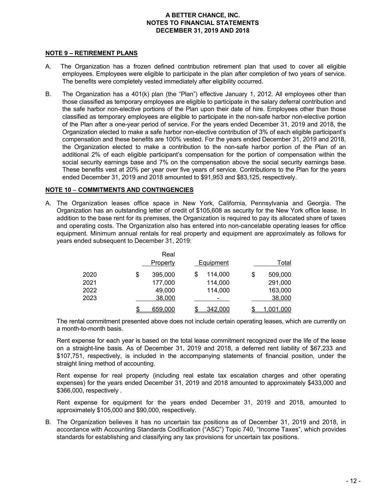#### **NOTE 9 – RETIREMENT PLANS**

- A. The Organization has a frozen defined contribution retirement plan that used to cover all eligible employees. Employees were eligible to participate in the plan after completion of two years of service. The benefits were completely vested immediately after eligibility occurred.
- B. The Organization has a 401(k) plan (the "Plan") effective January 1, 2012. All employees other than those classified as temporary employees are eligible to participate in the salary deferral contribution and the safe harbor non-elective portions of the Plan upon their date of hire. Employees other than those classified as temporary employees are eligible to participate in the non-safe harbor non-elective portion of the Plan after a one-year period of service. For the years ended December 31, 2019 and 2018, the Organization elected to make a safe harbor non-elective contribution of 3% of each eligible participant's compensation and these benefits are 100% vested. For the years ended December 31, 2019 and 2018, the Organization elected to make a contribution to the non-safe harbor portion of the Plan of an additional 2% of each eligible participant's compensation for the portion of compensation within the social security earnings base and 7% on the compensation above the social security earnings base. These benefits vest at 20% per year over five years of service. Contributions to the Plan for the years ended December 31, 2019 and 2018 amounted to \$91,953 and \$83,125, respectively.

#### **NOTE 10** – **COMMITMENTS AND CONTINGENCIES**

A. The Organization leases office space in New York, California, Pennsylvania and Georgia. The Organization has an outstanding letter of credit of \$105,608 as security for the New York office lease. In addition to the base rent for its premises, the Organization is required to pay its allocated share of taxes and operating costs. The Organization also has entered into non-cancelable operating leases for office equipment. Minimum annual rentals for real property and equipment are approximately as follows for years ended subsequent to December 31, 2019:

|      | Real          |               |               |
|------|---------------|---------------|---------------|
|      | Property      | Equipment     | Total         |
| 2020 | \$<br>395,000 | \$<br>114,000 | \$<br>509,000 |
| 2021 | 177,000       | 114,000       | 291,000       |
| 2022 | 49,000        | 114,000       | 163,000       |
| 2023 | 38,000        |               | 38,000        |
|      | \$<br>659,000 | 342,000       | 1.001.000     |

The rental commitment presented above does not include certain operating leases, which are currently on a month-to-month basis.

Rent expense for each year is based on the total lease commitment recognized over the life of the lease on a straight-line basis. As of December 31, 2019 and 2018, a deferred rent liability of \$67,233 and \$107,751, respectively, is included in the accompanying statements of financial position, under the straight lining method of accounting.

Rent expense for real property (including real estate tax escalation charges and other operating expenses) for the years ended December 31, 2019 and 2018 amounted to approximately \$433,000 and \$366,000, respectively .

Rent expense for equipment for the years ended December 31, 2019 and 2018, amounted to approximately \$105,000 and \$90,000, respectively.

B. The Organization believes it has no uncertain tax positions as of December 31, 2019 and 2018, in accordance with Accounting Standards Codification ("ASC") Topic 740, "Income Taxes", which provides standards for establishing and classifying any tax provisions for uncertain tax positions.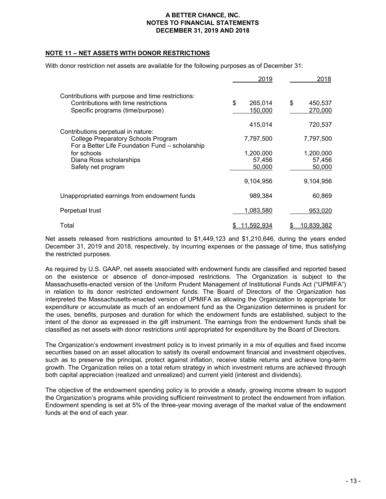#### **NOTE 11 – NET ASSETS WITH DONOR RESTRICTIONS**

With donor restriction net assets are available for the following purposes as of December 31:

|                                                                                                                                     | 2019                     | 2018                     |
|-------------------------------------------------------------------------------------------------------------------------------------|--------------------------|--------------------------|
| Contributions with purpose and time restrictions:<br>Contributions with time restrictions<br>Specific programs (time/purpose)       | \$<br>265,014<br>150,000 | \$<br>450,537<br>270,000 |
|                                                                                                                                     | 415,014                  | 720,537                  |
| Contributions perpetual in nature:<br><b>College Preparatory Schools Program</b><br>For a Better Life Foundation Fund - scholarship | 7,797,500                | 7,797,500                |
| for schools                                                                                                                         | 1,200,000                | 1,200,000                |
| Diana Ross scholarships<br>Safety net program                                                                                       | 57,456<br>50,000         | 57,456<br>50,000         |
|                                                                                                                                     |                          |                          |
|                                                                                                                                     | 9,104,956                | 9,104,956                |
| Unappropriated earnings from endowment funds                                                                                        | 989,384                  | 60,869                   |
| Perpetual trust                                                                                                                     | 1,083,580                | 953,020                  |
| Total                                                                                                                               | \$<br><u>11,592,934</u>  | \$<br><u>10,839,382</u>  |

Net assets released from restrictions amounted to \$1,449,123 and \$1,210,646, during the years ended December 31, 2019 and 2018, respectively, by incurring expenses or the passage of time, thus satisfying the restricted purposes.

As required by U.S. GAAP, net assets associated with endowment funds are classified and reported based on the existence or absence of donor-imposed restrictions. The Organization is subject to the Massachusetts-enacted version of the Uniform Prudent Management of Institutional Funds Act ("UPMIFA") in relation to its donor restricted endowment funds. The Board of Directors of the Organization has interpreted the Massachusetts-enacted version of UPMIFA as allowing the Organization to appropriate for expenditure or accumulate as much of an endowment fund as the Organization determines is prudent for the uses, benefits, purposes and duration for which the endowment funds are established, subject to the intent of the donor as expressed in the gift instrument. The earnings from the endowment funds shall be classified as net assets with donor restrictions until appropriated for expenditure by the Board of Directors.

The Organization's endowment investment policy is to invest primarily in a mix of equities and fixed income securities based on an asset allocation to satisfy its overall endowment financial and investment objectives, such as to preserve the principal, protect against inflation, receive stable returns and achieve long-term growth. The Organization relies on a total return strategy in which investment returns are achieved through both capital appreciation (realized and unrealized) and current yield (interest and dividends).

The objective of the endowment spending policy is to provide a steady, growing income stream to support the Organization's programs while providing sufficient reinvestment to protect the endowment from inflation. Endowment spending is set at 5% of the three-year moving average of the market value of the endowment funds at the end of each year.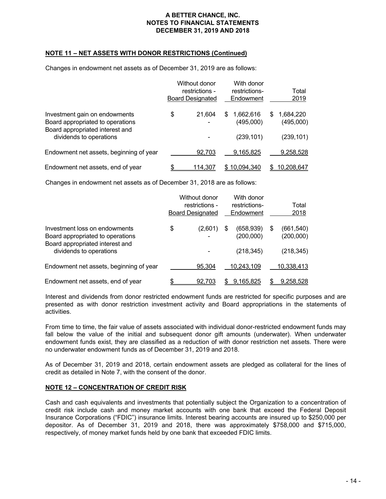#### **NOTE 11 – NET ASSETS WITH DONOR RESTRICTIONS (Continued)**

Changes in endowment net assets as of December 31, 2019 are as follows:

|                                                                                                      | Without donor<br>restrictions -<br><b>Board Designated</b> |    | With donor<br>restrictions-<br>Endowment |   | Total<br>2019          |
|------------------------------------------------------------------------------------------------------|------------------------------------------------------------|----|------------------------------------------|---|------------------------|
| Investment gain on endowments<br>Board appropriated to operations<br>Board appropriated interest and | \$<br>21.604<br>$\overline{\phantom{0}}$                   | S  | 1,662,616<br>(495,000)                   | S | 1,684,220<br>(495,000) |
| dividends to operations                                                                              |                                                            |    | (239, 101)                               |   | (239, 101)             |
| Endowment net assets, beginning of year                                                              | 92.703                                                     |    | 9.165.825                                |   | 9,258,528              |
| Endowment net assets, end of year                                                                    | \$<br>114.307                                              | S. | 10.094.340                               |   | 10.208.647             |

Changes in endowment net assets as of December 31, 2018 are as follows:

|                                                                                                      | Without donor<br>restrictions -<br><b>Board Designated</b> |   | With donor<br>restrictions-<br>Endowment |   | Total<br>2018           |
|------------------------------------------------------------------------------------------------------|------------------------------------------------------------|---|------------------------------------------|---|-------------------------|
| Investment loss on endowments<br>Board appropriated to operations<br>Board appropriated interest and | \$<br>(2,601)                                              | S | (658,939)<br>(200,000)                   | S | (661, 540)<br>(200,000) |
| dividends to operations                                                                              |                                                            |   | (218, 345)                               |   | (218, 345)              |
| Endowment net assets, beginning of year                                                              | 95.304                                                     |   | 10.243.109                               |   | 10,338,413              |
| Endowment net assets, end of year                                                                    | 92.703                                                     |   | 9,165,825                                |   | 9,258,528               |

Interest and dividends from donor restricted endowment funds are restricted for specific purposes and are presented as with donor restriction investment activity and Board appropriations in the statements of activities.

From time to time, the fair value of assets associated with individual donor-restricted endowment funds may fall below the value of the initial and subsequent donor gift amounts (underwater). When underwater endowment funds exist, they are classified as a reduction of with donor restriction net assets. There were no underwater endowment funds as of December 31, 2019 and 2018.

As of December 31, 2019 and 2018, certain endowment assets are pledged as collateral for the lines of credit as detailed in Note 7, with the consent of the donor.

#### **NOTE 12 – CONCENTRATION OF CREDIT RISK**

Cash and cash equivalents and investments that potentially subject the Organization to a concentration of credit risk include cash and money market accounts with one bank that exceed the Federal Deposit Insurance Corporations ("FDIC") insurance limits. Interest bearing accounts are insured up to \$250,000 per depositor. As of December 31, 2019 and 2018, there was approximately \$758,000 and \$715,000, respectively, of money market funds held by one bank that exceeded FDIC limits.